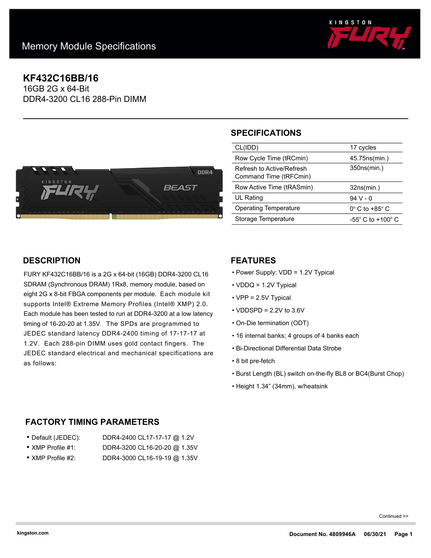

# **KF432C16BB/16**

16GB 2G x 64-Bit DDR4-3200 CL16 288-Pin DIMM



# **SPECIFICATIONS**

| CL(IDD)                                             | 17 cycles                           |
|-----------------------------------------------------|-------------------------------------|
| Row Cycle Time (tRCmin)                             | 45.75 ns (min.)                     |
| Refresh to Active/Refresh<br>Command Time (tRFCmin) | 350ns(min.)                         |
|                                                     |                                     |
| Row Active Time (tRASmin)                           | 32ns(min.)                          |
| UL Rating                                           | 94 V - 0                            |
| Operating Temperature                               | $0^\circ$ C to +85 $^\circ$ C       |
| Storage Temperature                                 | $-55^{\circ}$ C to $+100^{\circ}$ C |

# **DESCRIPTION**

FURY KF432C16BB/16 is a 2G x 64-bit (16GB) DDR4-3200 CL16 SDRAM (Synchronous DRAM) 1Rx8, memory module, based on eight 2G x 8-bit FBGA components per module. Each module kit supports Intel® Extreme Memory Profiles (Intel® XMP) 2.0. Each module has been tested to run at DDR4-3200 at a low latency timing of 16-20-20 at 1.35V. The SPDs are programmed to JEDEC standard latency DDR4-2400 timing of 17-17-17 at 1.2V. Each 288-pin DIMM uses gold contact fingers. The JEDEC standard electrical and mechanical specifications are as follows:

# **FEATURES**

- Power Supply: VDD = 1.2V Typical
- VDDQ = 1.2V Typical
- VPP = 2.5V Typical
- $\cdot$  VDDSPD = 2.2V to 3.6V
- On-Die termination (ODT)
- 16 internal banks; 4 groups of 4 banks each
- Bi-Directional Differential Data Strobe
- 8 bit pre-fetch
- Burst Length (BL) switch on-the-fly BL8 or BC4(Burst Chop)
- Height 1.34" (34mm), w/heatsink

# **FACTORY TIMING PARAMETERS**

| ● Default (JEDEC):        | DDR4-2400 CL17-17-17 @ 1.2V  |
|---------------------------|------------------------------|
| $\bullet$ XMP Profile #1: | DDR4-3200 CL16-20-20 @ 1.35V |

• XMP Profile #2: DDR4-3000 CL16-19-19 @ 1.35V

Continued >>